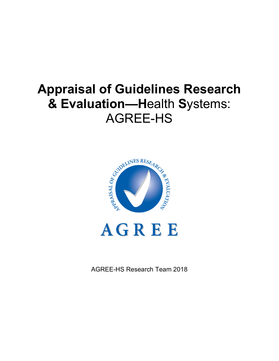# **Appraisal of Guidelines Research & Evaluation—H**ealth **S**ystems: AGREE-HS



AGREE-HS Research Team 2018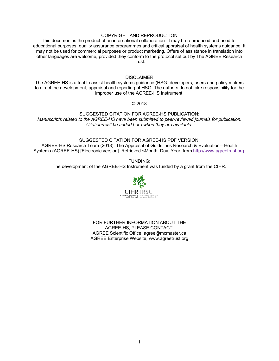#### COPYRIGHT AND REPRODUCTION

This document is the product of an international collaboration. It may be reproduced and used for educational purposes, quality assurance programmes and critical appraisal of health systems guidance. It may not be used for commercial purposes or product marketing. Offers of assistance in translation into other languages are welcome, provided they conform to the protocol set out by The AGREE Research Trust.

#### **DISCLAIMER**

The AGREE-HS is a tool to assist health systems guidance (HSG) developers, users and policy makers to direct the development, appraisal and reporting of HSG. The authors do not take responsibility for the improper use of the AGREE-HS Instrument.

© 2018

SUGGESTED CITATION FOR AGREE-HS PUBLICATION: *Manuscripts related to the AGREE-HS have been submitted to peer-reviewed journals for publication. Citations will be added here when they are available.*

#### SUGGESTED CITATION FOR AGREE-HS PDF VERSION:

AGREE-HS Research Team (2018). The Appraisal of Guidelines Research & Evaluation—Health Systems (AGREE-HS) [Electronic version]. Retrieved <Month, Day, Year, from http://www.agreetrust.org.

FUNDING:

The development of the AGREE-HS Instrument was funded by a grant from the CIHR.



FOR FURTHER INFORMATION ABOUT THE AGREE-HS, PLEASE CONTACT: AGREE Scientific Office, agree@mcmaster.ca AGREE Enterprise Website, www.agreetrust.org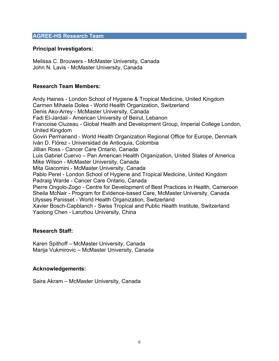#### **AGREE-HS Research Team**

#### **Principal Investigators:**

Melissa C. Brouwers - McMaster University, Canada John N. Lavis - McMaster University, Canada

#### **Research Team Members:**

Andy Haines - London School of Hygiene & Tropical Medicine, United Kingdom Carmen Mihaela Dolea - World Health Organization, Switzerland Denis Ako-Arrey - McMaster University, Canada Fadi El-Jardali - American University of Beirut, Lebanon Francoise Cluzeau - Global Health and Development Group, Imperial College London, United Kingdom Govin Permanand - World Health Organization Regional Office for Europe, Denmark Iván D. Flórez - Universidad de Antioquia, Colombia Jillian Ross - Cancer Care Ontario, Canada Luis Gabriel Cuervo – Pan American Health Organization, United States of America Mike Wilson - McMaster University, Canada Mita Giacomini - McMaster University, Canada Pablo Perel - London School of Hygiene and Tropical Medicine, United Kingdom Padraig Warde - Cancer Care Ontario, Canada Pierre Ongolo-Zogo - Centre for Development of Best Practices in Health, Cameroon Sheila McNair - Program for Evidence-based Care, McMaster University, Canada Ulysses Panisset - World Health Organization, Switzerland Xavier Bosch-Capblanch - Swiss Tropical and Public Health Institute, Switzerland Yaolong Chen - Lanzhou University, China

#### **Research Staff:**

Karen Spithoff – McMaster University, Canada Marija Vukmirovic – McMaster University, Canada

#### **Acknowledgements:**

Saira Akram – McMaster University, Canada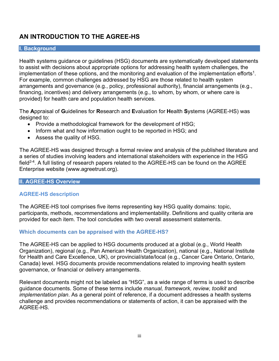### **AN INTRODUCTION TO THE AGREE-HS**

#### **I. Background**

Health systems guidance or guidelines (HSG) documents are systematically developed statements to assist with decisions about appropriate options for addressing health system challenges, the implementation of these options, and the monitoring and evaluation of the implementation efforts<sup>1</sup>. For example, common challenges addressed by HSG are those related to health system arrangements and governance (e.g., policy, professional authority), financial arrangements (e.g., financing, incentives) and delivery arrangements (e.g., to whom, by whom, or where care is provided) for health care and population health services.

The **A**ppraisal of **G**uidelines for **R**esearch and **E**valuation for **H**ealth **S**ystems (AGREE-HS) was designed to:

- Provide a methodological framework for the development of HSG;
- Inform what and how information ought to be reported in HSG; and
- Assess the quality of HSG.

The AGREE-HS was designed through a formal review and analysis of the published literature and a series of studies involving leaders and international stakeholders with experience in the HSG field<sup>2-4</sup>. A full listing of research papers related to the AGREE-HS can be found on the AGREE Enterprise website (www.agreetrust.org).

#### **II. AGREE-HS Overview**

#### **AGREE-HS description**

The AGREE-HS tool comprises five items representing key HSG quality domains: topic, participants, methods, recommendations and implementability. Definitions and quality criteria are provided for each item. The tool concludes with two overall assessment statements.

#### **Which documents can be appraised with the AGREE-HS?**

The AGREE-HS can be applied to HSG documents produced at a global (e.g., World Health Organization), regional (e.g., Pan American Health Organization), national (e.g., National Institute for Health and Care Excellence, UK), or provincial/state/local (e.g., Cancer Care Ontario, Ontario, Canada) level. HSG documents provide recommendations related to improving health system governance, or financial or delivery arrangements.

Relevant documents might not be labeled as "HSG", as a wide range of terms is used to describe guidance documents. Some of these terms include *manual, framework, review, toolkit* and *implementation plan*. As a general point of reference, if a document addresses a health systems challenge and provides recommendations or statements of action, it can be appraised with the AGREE-HS.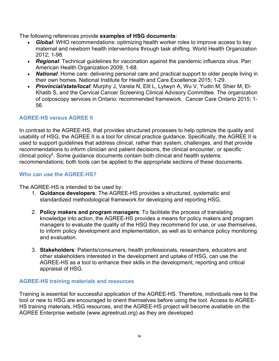The following references provide **examples of HSG documents**:

- *Global*: WHO recommendations: optimizing health worker roles to improve access to key maternal and newborn health interventions through task shifting. World Health Organization 2012; 1-98.
- *Regional*: Technical guidelines for vaccination against the pandemic influenza virus. Pan American Health Organization 2009; 1-68.
- *National*: Home care: delivering personal care and practical support to older people living in their own homes. National Institute for Health and Care Excellence 2015; 1-29.
- *Provincial/state/local*: Murphy J, Varela N, Elit L, Lytwyn A, Wu V, Yudin M, Shier M, El-Khatib S, and the Cervical Cancer Screening Clinical Advisory Committee. The organization of colposcopy services in Ontario: recommended framework. Cancer Care Ontario 2015; 1- 56.

#### **AGREE-HS versus AGREE II**

In contrast to the AGREE-HS, that provides structured processes to help optimize the quality and usability of HSG, the AGREE II is a tool for clinical practice guidance. Specifically, the AGREE II is used to support guidelines that address clinical, rather than system, challenges, and that provide recommendations to inform clinician and patient decisions, the clinical encounter, or specific clinical policy<sup>5</sup>. Some guidance documents contain both clinical and health systems recommendations; both tools can be applied to the appropriate sections of these documents.

#### **Who can use the AGREE-HS?**

The AGREE-HS is intended to be used by:

- 1. **Guidance developers**: The AGREE-HS provides a structured, systematic and standardized methodological framework for developing and reporting HSG.
- 2. **Policy makers and program managers**: To facilitate the process of translating knowledge into action, the AGREE-HS provides a means for policy makers and program managers to evaluate the quality of the HSG they recommend for use, or use themselves, to inform policy development and implementation, as well as to enhance policy monitoring and evaluation.
- 3. **Stakeholders**: Patients/consumers, health professionals, researchers, educators and other stakeholders interested in the development and uptake of HSG, can use the AGREE-HS as a tool to enhance their skills in the development, reporting and critical appraisal of HSG.

#### **AGREE-HS training materials and resources**

Training is essential for successful application of the AGREE-HS. Therefore, individuals new to the tool or new to HSG are encouraged to orient themselves before using the tool. Access to AGREE-HS training materials, HSG resources, and the AGREE-HS project will become available on the AGREE Enterprise website (www.agreetrust.org) as they are developed.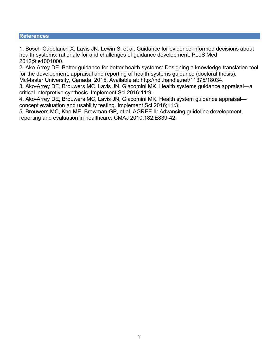#### **References**

1. Bosch-Capblanch X, Lavis JN, Lewin S, et al. Guidance for evidence-informed decisions about health systems: rationale for and challenges of guidance development. PLoS Med 2012;9:e1001000.

2. Ako-Arrey DE. Better guidance for better health systems: Designing a knowledge translation tool for the development, appraisal and reporting of health systems guidance (doctoral thesis). McMaster University, Canada; 2015. Available at: http://hdl.handle.net/11375/18034.

3. Ako-Arrey DE, Brouwers MC, Lavis JN, Giacomini MK. Health systems guidance appraisal—a critical interpretive synthesis. Implement Sci 2016;11:9.

4. Ako-Arrey DE, Brouwers MC, Lavis JN, Giacomini MK. Health system guidance appraisal concept evaluation and usability testing. Implement Sci 2016;11:3.

5. Brouwers MC, Kho ME, Browman GP, et al. AGREE II: Advancing guideline development, reporting and evaluation in healthcare. CMAJ 2010;182:E839-42.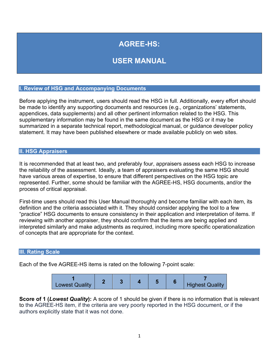# **AGREE-HS:**

## **USER MANUAL**

#### **I. Review of HSG and Accompanying Documents**

Before applying the instrument, users should read the HSG in full. Additionally, every effort should be made to identify any supporting documents and resources (e.g., organizations' statements, appendices, data supplements) and all other pertinent information related to the HSG. This supplementary information may be found in the same document as the HSG or it may be summarized in a separate technical report, methodological manual, or guidance developer policy statement. It may have been published elsewhere or made available publicly on web sites.

#### **II. HSG Appraisers**

It is recommended that at least two, and preferably four, appraisers assess each HSG to increase the reliability of the assessment. Ideally, a team of appraisers evaluating the same HSG should have various areas of expertise, to ensure that different perspectives on the HSG topic are represented. Further, some should be familiar with the AGREE-HS, HSG documents, and/or the process of critical appraisal.

First-time users should read this User Manual thoroughly and become familiar with each item, its definition and the criteria associated with it. They should consider applying the tool to a few "practice" HSG documents to ensure consistency in their application and interpretation of items. If reviewing with another appraiser, they should confirm that the items are being applied and interpreted similarly and make adjustments as required, including more specific operationalization of concepts that are appropriate for the context.

#### **III. Rating Scale**

Each of the five AGREE-HS items is rated on the following 7-point scale:



**Score of 1 (***Lowest Quality***):** A score of 1 should be given if there is no information that is relevant to the AGREE-HS item, if the criteria are very poorly reported in the HSG document, or if the authors explicitly state that it was not done.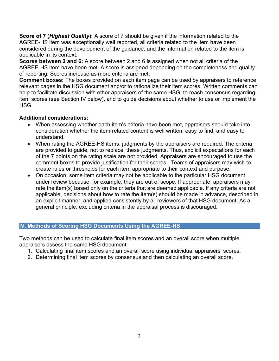**Score of 7 (***Highest Quality***):** A score of 7 should be given if the information related to the AGREE-HS item was exceptionally well reported, all criteria related to the item have been considered during the development of the guidance, and the information related to the item is applicable in its context.

**Scores between 2 and 6:** A score between 2 and 6 is assigned when not all criteria of the AGREE-HS item have been met. A score is assigned depending on the completeness and quality of reporting. Scores increase as more criteria are met.

**Comment boxes:** The boxes provided on each item page can be used by appraisers to reference relevant pages in the HSG document and/or to rationalize their item scores. Written comments can help to facilitate discussion with other appraisers of the same HSG, to reach consensus regarding item scores (see Section IV below), and to guide decisions about whether to use or implement the HSG.

#### **Additional considerations:**

- When assessing whether each item's criteria have been met, appraisers should take into consideration whether the item-related content is well written, easy to find, and easy to understand.
- When rating the AGREE-HS items, judgments by the appraisers are required. The criteria are provided to guide, not to replace, these judgments. Thus, explicit expectations for each of the 7 points on the rating scale are not provided. Appraisers are encouraged to use the comment boxes to provide justification for their scores. Teams of appraisers may wish to create rules or thresholds for each item appropriate to their context and purpose.
- On occasion, some item criteria may not be applicable to the particular HSG document under review because, for example, they are out of scope. If appropriate, appraisers may rate the item(s) based only on the criteria that are deemed applicable. If any criteria are not applicable, decisions about how to rate the item(s) should be made in advance, described in an explicit manner, and applied consistently by all reviewers of that HSG document. As a general principle, excluding criteria in the appraisal process is discouraged.

#### **IV. Methods of Scoring HSG Documents Using the AGREE-HS**

Two methods can be used to calculate final item scores and an overall score when multiple appraisers assess the same HSG document:

- 1. Calculating final item scores and an overall score using individual appraisers' scores.
- 2. Determining final item scores by consensus and then calculating an overall score.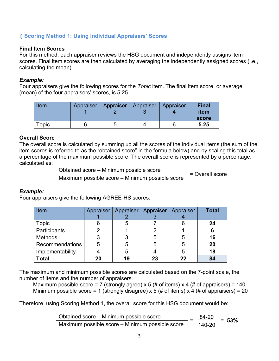#### **i) Scoring Method 1: Using Individual Appraisers' Scores**

#### **Final Item Scores**

For this method, each appraiser reviews the HSG document and independently assigns item scores. Final item scores are then calculated by averaging the independently assigned scores (i.e., calculating the mean).

#### *Example:*

Four appraisers give the following scores for the *Topic* item. The final item score, or average (mean) of the four appraisers' scores, is 5.25.

| Item  | Appraiser |   | Appraiser   Appraiser   Appraiser | <b>Final</b><br>item |
|-------|-----------|---|-----------------------------------|----------------------|
|       |           |   |                                   | score                |
| Topic |           | ∽ |                                   | 5.25                 |

#### **Overall Score**

The overall score is calculated by summing up all the scores of the individual items (the sum of the item scores is referred to as the "obtained score" in the formula below) and by scaling this total as a percentage of the maximum possible score. The overall score is represented by a percentage, calculated as:

Obtained score – Minimum possible score

= Overall score Maximum possible score – Minimum possible score

#### *Example:*

Four appraisers give the following AGREE-HS scores:

| Item             | Appraiser | Appraiser | Appraiser | Appraiser | <b>Total</b> |
|------------------|-----------|-----------|-----------|-----------|--------------|
|                  |           |           |           |           |              |
| Topic            |           |           |           |           | 24           |
| Participants     |           |           |           |           |              |
| <b>Methods</b>   |           |           | 5         | 5         | 16           |
| Recommendations  | 5         |           | 5         | 5         | 20           |
| Implementability |           | 5         |           | 5         | 18           |
| <b>Total</b>     | 20        | 19        | 23        | 22        | 84           |

The maximum and minimum possible scores are calculated based on the 7-point scale, the number of items and the number of appraisers.

Maximum possible score = 7 (strongly agree) x 5 (# of items) x 4 (# of appraisers) = 140 Minimum possible score = 1 (strongly disagree) x 5 (# of items) x 4 (# of appraisers) = 20

Therefore, using Scoring Method 1, the overall score for this HSG document would be:

| Obtained score - Minimum possible score<br>$\overline{\phantom{0}}$ | 84-20  | $= 53%$ |
|---------------------------------------------------------------------|--------|---------|
| Maximum possible score – Minimum possible score                     | 140-20 |         |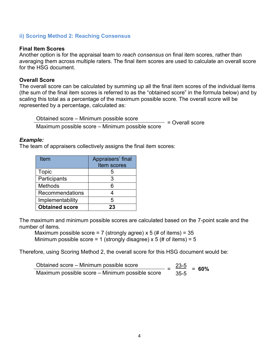#### **ii) Scoring Method 2: Reaching Consensus**

#### **Final Item Scores**

Another option is for the appraisal team to *reach consensus* on final item scores, rather than averaging them across multiple raters. The final item scores are used to calculate an overall score for the HSG document.

#### **Overall Score**

The overall score can be calculated by summing up all the final item scores of the individual items (the sum of the final item scores is referred to as the "obtained score" in the formula below) and by scaling this total as a percentage of the maximum possible score. The overall score will be represented by a percentage, calculated as:

Obtained score – Minimum possible score = Overall score Maximum possible score – Minimum possible score

#### *Example:*

The team of appraisers collectively assigns the final item scores:

| Item                  | Appraisers' final |
|-----------------------|-------------------|
|                       | Item scores       |
| <b>Topic</b>          | h                 |
| Participants          | 3                 |
| <b>Methods</b>        | 6                 |
| Recommendations       |                   |
| Implementability      | 5                 |
| <b>Obtained score</b> | 23                |

The maximum and minimum possible scores are calculated based on the 7-point scale and the number of items.

Maximum possible score = 7 (strongly agree) x 5 (# of items) =  $35$ Minimum possible score = 1 (strongly disagree)  $\times$  5 (# of items) = 5

Therefore, using Scoring Method 2, the overall score for this HSG document would be:

Obtained score – Minimum possible score  $\frac{23-5}{25-5}$  $\frac{32.4 \text{ m/s}}{25.5}$  = 60%<br>Maximum possible score – Minimum possible score  $\frac{25.5}{35.5}$  = 60%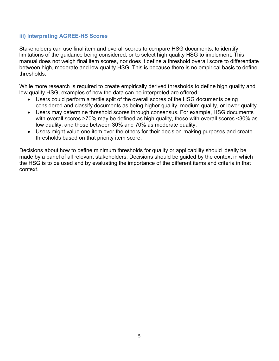#### **iii) Interpreting AGREE-HS Scores**

Stakeholders can use final item and overall scores to compare HSG documents, to identify limitations of the guidance being considered, or to select high quality HSG to implement. This manual does not weigh final item scores, nor does it define a threshold overall score to differentiate between high, moderate and low quality HSG. This is because there is no empirical basis to define thresholds.

While more research is required to create empirically derived thresholds to define high quality and low quality HSG, examples of how the data can be interpreted are offered:

- Users could perform a tertile split of the overall scores of the HSG documents being considered and classify documents as being higher quality, medium quality, or lower quality.
- Users may determine threshold scores through consensus. For example, HSG documents with overall scores >70% may be defined as high quality, those with overall scores <30% as low quality, and those between 30% and 70% as moderate quality.
- Users might value one item over the others for their decision-making purposes and create thresholds based on that priority item score.

Decisions about how to define minimum thresholds for quality or applicability should ideally be made by a panel of all relevant stakeholders. Decisions should be guided by the context in which the HSG is to be used and by evaluating the importance of the different items and criteria in that context.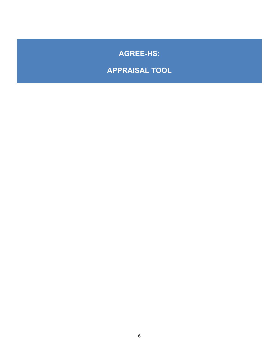# **AGREE-HS:**

# **APPRAISAL TOOL**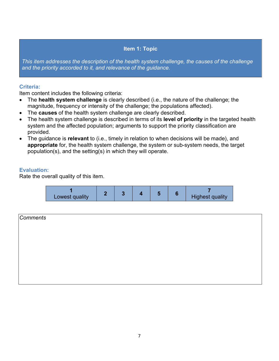#### **Item 1: Topic**

*This item addresses the description of the health system challenge, the causes of the challenge and the priority accorded to it, and relevance of the guidance.* 

#### **Criteria:**

Item content includes the following criteria:

- The **health system challenge** is clearly described (i.e., the nature of the challenge; the magnitude, frequency or intensity of the challenge; the populations affected).
- The **causes** of the health system challenge are clearly described.
- The health system challenge is described in terms of its **level of priority** in the targeted health system and the affected population; arguments to support the priority classification are provided.
- The guidance is **relevant** to (i.e., timely in relation to when decisions will be made), and **appropriate** for, the health system challenge, the system or sub-system needs, the target population(s), and the setting(s) in which they will operate.

#### **Evaluation:**



| Comments |  |  |
|----------|--|--|
|          |  |  |
|          |  |  |
|          |  |  |
|          |  |  |
|          |  |  |
|          |  |  |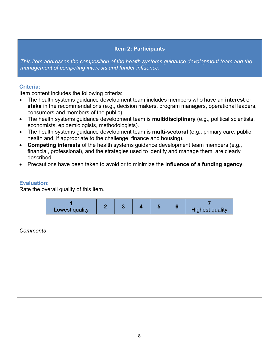#### **Item 2: Participants**

*This item addresses the composition of the health systems guidance development team and the management of competing interests and funder influence.*

#### **Criteria:**

Item content includes the following criteria:

- The health systems guidance development team includes members who have an **interest** or **stake** in the recommendations (e.g., decision makers, program managers, operational leaders, consumers and members of the public).
- The health systems guidance development team is **multidisciplinary** (e.g., political scientists, economists, epidemiologists, methodologists).
- The health systems guidance development team is **multi-sectoral** (e.g., primary care, public health and, if appropriate to the challenge, finance and housing).
- **Competing interests** of the health systems guidance development team members (e.g., financial, professional), and the strategies used to identify and manage them, are clearly described.
- Precautions have been taken to avoid or to minimize the **influence of a funding agency**.

#### **Evaluation:**



| <b>Comments</b> |  |  |  |
|-----------------|--|--|--|
|                 |  |  |  |
|                 |  |  |  |
|                 |  |  |  |
|                 |  |  |  |
|                 |  |  |  |
|                 |  |  |  |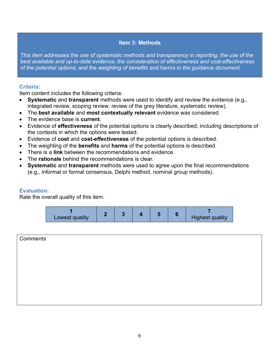#### **Item 3: Methods**

*This item addresses the use of systematic methods and transparency in reporting; the use of the best available and up-to-date evidence; the consideration of effectiveness and cost-effectiveness of the potential options; and the weighting of benefits and harms in the guidance document.*

#### **Criteria:**

Item content includes the following criteria:

- **Systematic** and **transparent** methods were used to identify and review the evidence (e.g., integrated review, scoping review, review of the grey literature, systematic review).
- The **best available** and **most contextually relevant** evidence was considered.
- The evidence base is **current**.
- Evidence of **effectiveness** of the potential options is clearly described, including descriptions of the contexts in which the options were tested.
- Evidence of **cost** and **cost-effectiveness** of the potential options is described.
- The weighting of the **benefits** and **harms** of the potential options is described.
- There is a **link** between the recommendations and evidence.
- The **rationale** behind the recommendations is clear.
- **Systematic** and **transparent** methods were used to agree upon the final recommendations (e.g., informal or formal consensus, Delphi method, nominal group methods).

#### **Evaluation:**

| Lowest quality |  |  |  |  |  | <b>Highest quality</b> |
|----------------|--|--|--|--|--|------------------------|
|----------------|--|--|--|--|--|------------------------|

| <b>Comments</b> |  |  |
|-----------------|--|--|
|                 |  |  |
|                 |  |  |
|                 |  |  |
|                 |  |  |
|                 |  |  |
|                 |  |  |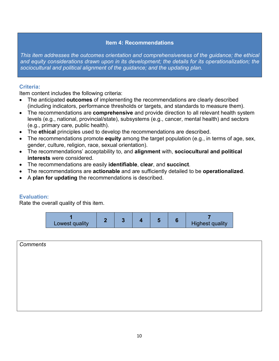#### **Item 4: Recommendations**

*This item addresses the outcomes orientation and comprehensiveness of the guidance; the ethical and equity considerations drawn upon in its development; the details for its operationalization; the sociocultural and political alignment of the guidance; and the updating plan.*

#### **Criteria:**

Item content includes the following criteria:

- The anticipated **outcomes** of implementing the recommendations are clearly described (including indicators, performance thresholds or targets, and standards to measure them).
- The recommendations are **comprehensive** and provide direction to all relevant health system levels (e.g., national, provincial/state), subsystems (e.g., cancer, mental health) and sectors (e.g., primary care, public health).
- The **ethical** principles used to develop the recommendations are described.
- The recommendations promote **equity** among the target population (e.g., in terms of age, sex, gender, culture, religion, race, sexual orientation).
- The recommendations' acceptability to, and **alignment** with, **sociocultural and political interests** were considered.
- The recommendations are easily **identifiable**, **clear**, and **succinct**.
- The recommendations are **actionable** and are sufficiently detailed to be **operationalized**.
- A **plan for updating** the recommendations is described.

#### **Evaluation:**

Rate the overall quality of this item.

| Lowest quality |  |  |  |  |  | <b>Highest quality</b> |
|----------------|--|--|--|--|--|------------------------|
|----------------|--|--|--|--|--|------------------------|

# *Comments*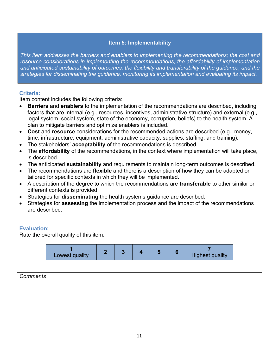#### **Item 5: Implementability**

*This item addresses the barriers and enablers to implementing the recommendations; the cost and*  resource considerations in implementing the recommendations; the affordability of implementation *and anticipated sustainability of outcomes; the flexibility and transferability of the guidance; and the strategies for disseminating the guidance, monitoring its implementation and evaluating its impact.*

#### **Criteria:**

Item content includes the following criteria:

- **Barriers** and **enablers** to the implementation of the recommendations are described, including factors that are internal (e.g., resources, incentives, administrative structure) and external (e.g., legal system, social system, state of the economy, corruption, beliefs) to the health system. A plan to mitigate barriers and optimize enablers is included.
- **Cost** and **resource** considerations for the recommended actions are described (e.g., money, time, infrastructure, equipment, administrative capacity, supplies, staffing, and training).
- The stakeholders' **acceptability** of the recommendations is described.
- The **affordability** of the recommendations, in the context where implementation will take place, is described.
- The anticipated **sustainability** and requirements to maintain long-term outcomes is described.
- The recommendations are **flexible** and there is a description of how they can be adapted or tailored for specific contexts in which they will be implemented.
- A description of the degree to which the recommendations are **transferable** to other similar or different contexts is provided.
- Strategies for **disseminating** the health systems guidance are described.
- Strategies for **assessing** the implementation process and the impact of the recommendations are described.

#### **Evaluation:**



| Comments |  |  |  |
|----------|--|--|--|
|          |  |  |  |
|          |  |  |  |
|          |  |  |  |
|          |  |  |  |